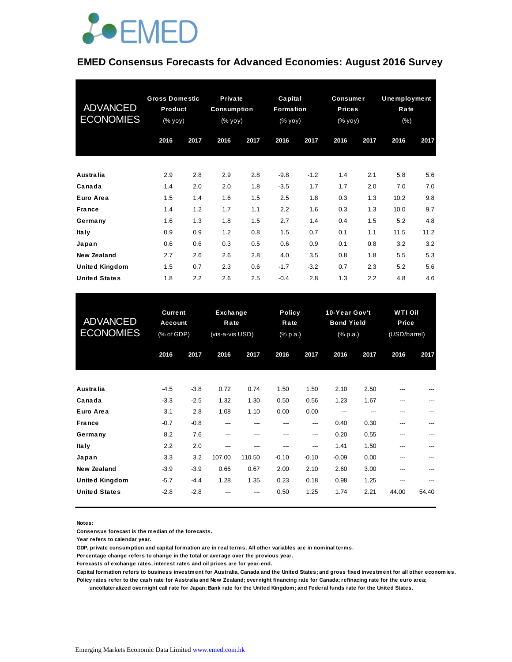

#### **EMED Consensus Forecasts for Advanced Economies: August 2016 Survey**

| <b>ADVANCED</b><br><b>ECONOMIES</b> | <b>Gross Domestic</b><br>Product<br>(% yoy) |      |      |      | Private<br><b>Consumption</b><br>(% yoy) |        | Capital<br>Formation<br>(% yoy) |      | <b>Consumer</b><br><b>Prices</b><br>(% yoy) |      | Unemployment<br>Rate<br>$(\%)$ |  |
|-------------------------------------|---------------------------------------------|------|------|------|------------------------------------------|--------|---------------------------------|------|---------------------------------------------|------|--------------------------------|--|
|                                     | 2016                                        | 2017 | 2016 | 2017 | 2016                                     | 2017   | 2016                            | 2017 | 2016                                        | 2017 |                                |  |
| Australia                           | 2.9                                         | 2.8  | 2.9  | 2.8  | $-9.8$                                   | $-1.2$ | 1.4                             | 2.1  | 5.8                                         | 5.6  |                                |  |
| Canada                              | 1.4                                         | 2.0  | 2.0  | 1.8  | $-3.5$                                   | 1.7    | 1.7                             | 2.0  | 7.0                                         | 7.0  |                                |  |
| Euro Area                           | 1.5                                         | 1.4  | 1.6  | 1.5  | 2.5                                      | 1.8    | 0.3                             | 1.3  | 10.2                                        | 9.8  |                                |  |
| <b>France</b>                       | 1.4                                         | 1.2  | 1.7  | 1.1  | 2.2                                      | 1.6    | 0.3                             | 1.3  | 10.0                                        | 9.7  |                                |  |
| Germany                             | 1.6                                         | 1.3  | 1.8  | 1.5  | 2.7                                      | 1.4    | 0.4                             | 1.5  | 5.2                                         | 4.8  |                                |  |
| <b>Italy</b>                        | 0.9                                         | 0.9  | 1.2  | 0.8  | 1.5                                      | 0.7    | 0.1                             | 1.1  | 11.5                                        | 11.2 |                                |  |
| Japan                               | 0.6                                         | 0.6  | 0.3  | 0.5  | 0.6                                      | 0.9    | 0.1                             | 0.8  | 3.2                                         | 3.2  |                                |  |
| New Zealand                         | 2.7                                         | 2.6  | 2.6  | 2.8  | 4.0                                      | 3.5    | 0.8                             | 1.8  | 5.5                                         | 5.3  |                                |  |
| <b>United Kingdom</b>               | 1.5                                         | 0.7  | 2.3  | 0.6  | $-1.7$                                   | $-3.2$ | 0.7                             | 2.3  | 5.2                                         | 5.6  |                                |  |
| <b>United States</b>                | 1.8                                         | 2.2  | 2.6  | 2.5  | $-0.4$                                   | 2.8    | 1.3                             | 2.2  | 4.8                                         | 4.6  |                                |  |

| <b>United States</b>                          | 1.8                                            | 2.2              | 2.6                                 | 2.5            | $-0.4$                            | 2.8             | 1.3                                            | 2.2          | 4.8                                     | 4.6   |
|-----------------------------------------------|------------------------------------------------|------------------|-------------------------------------|----------------|-----------------------------------|-----------------|------------------------------------------------|--------------|-----------------------------------------|-------|
| <b>ADVANCED</b><br><b>ECONOMIES</b>           | <b>Current</b><br><b>Account</b><br>(% of GDP) |                  | Exchange<br>Rate<br>(vis-a-vis USD) |                | <b>Policy</b><br>Rate<br>(% p.a.) |                 | 10-Year Gov't<br><b>Bond Yield</b><br>(% p.a.) |              | <b>WTI Oil</b><br>Price<br>(USD/barrel) |       |
|                                               | 2016                                           | 2017             | 2016                                | 2017           | 2016                              | 2017            | 2016                                           | 2017         | 2016                                    | 2017  |
| <b>Australia</b>                              | $-4.5$                                         | $-3.8$           | 0.72                                | 0.74           | 1.50                              | 1.50            | 2.10                                           | 2.50         |                                         |       |
| Canada<br>Euro Area                           | $-3.3$<br>3.1                                  | $-2.5$<br>2.8    | 1.32<br>1.08                        | 1.30<br>1.10   | 0.50<br>0.00                      | 0.56<br>0.00    | 1.23<br>---                                    | 1.67<br>---  | ---<br>---                              |       |
| <b>France</b><br>Germany                      | $-0.7$<br>8.2                                  | $-0.8$<br>7.6    | ---<br>---                          | ---<br>---     | ---<br>$---$                      | ---<br>$---$    | 0.40<br>0.20                                   | 0.30<br>0.55 | ---<br>---                              | ---   |
| <b>Italy</b>                                  | 2.2                                            | 2.0              | ---                                 | ---            | ---                               | ---             | 1.41                                           | 1.50         | ---                                     | ---   |
| Japan<br><b>New Zealand</b>                   | 3.3<br>$-3.9$                                  | 3.2<br>$-3.9$    | 107.00<br>0.66                      | 110.50<br>0.67 | $-0.10$<br>2.00                   | $-0.10$<br>2.10 | $-0.09$<br>2.60                                | 0.00<br>3.00 | ---<br>---                              |       |
| <b>United Kingdom</b><br><b>United States</b> | $-5.7$<br>$-2.8$                               | $-4.4$<br>$-2.8$ | 1.28                                | 1.35           | 0.23<br>0.50                      | 0.18<br>1.25    | 0.98<br>1.74                                   | 1.25<br>2.21 | ---<br>44.00                            | 54.40 |

**Notes:** 

**Consensus forecast is the median of the forecasts.**

**Year refers to calendar year.**

**GDP, private consumption and capital formation are in real terms. All other variables are in nominal terms.**

**Percentage change refers to change in the total or average over the previous year.**

**Forecasts of exchange rates, interest rates and oil prices are for year-end.**

**Capital formation refers to business investment for Australia, Canada and the United States; and gross fixed investment for all other economies. Policy rates refer to the cash rate for Australia and New Zealand; overnight financing rate for Canada; refinacing rate for the euro area;** 

 **uncollateralized overnight call rate for Japan; Bank rate for the United Kingdom; and Federal funds rate for the United States.**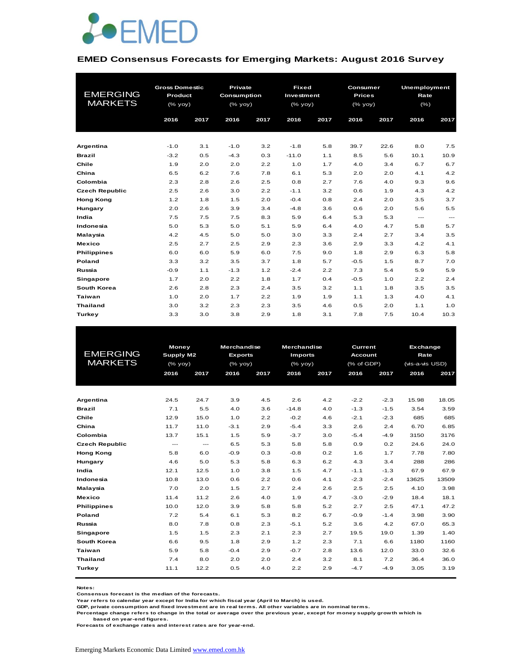

#### **EMED Consensus Forecasts for Emerging Markets: August 2016 Survey**

| <b>EMERGING</b><br><b>MARKETS</b> | <b>Gross Domestic</b><br><b>Product</b><br>$(\%$ yoy) |      | <b>Private</b><br>Consumption<br>(% yoy) |      | <b>Fixed</b><br>Investment<br>$(%$ $\sqrt{oy}$ yoy) |      | Consumer<br><b>Prices</b><br>$(% \mathsf{A}\rightarrow \mathsf{B})$ (% yoy) |      | <b>Unemployment</b><br>Rate<br>$(\% )$ |                          |
|-----------------------------------|-------------------------------------------------------|------|------------------------------------------|------|-----------------------------------------------------|------|-----------------------------------------------------------------------------|------|----------------------------------------|--------------------------|
|                                   | 2016                                                  | 2017 | 2016                                     | 2017 | 2016                                                | 2017 | 2016                                                                        | 2017 | 2016                                   | 2017                     |
|                                   |                                                       |      |                                          |      |                                                     |      |                                                                             |      |                                        |                          |
| Argentina                         | $-1.0$                                                | 3.1  | $-1.0$                                   | 3.2  | $-1.8$                                              | 5.8  | 39.7                                                                        | 22.6 | 8.0                                    | 7.5                      |
| <b>Brazil</b>                     | $-3.2$                                                | 0.5  | $-4.3$                                   | 0.3  | $-11.0$                                             | 1.1  | 8.5                                                                         | 5.6  | 10.1                                   | 10.9                     |
| Chile                             | 1.9                                                   | 2.0  | 2.0                                      | 2.2  | 1.0                                                 | 1.7  | 4.0                                                                         | 3.4  | 6.7                                    | 6.7                      |
| China                             | 6.5                                                   | 6.2  | 7.6                                      | 7.8  | 6.1                                                 | 5.3  | 2.0                                                                         | 2.0  | 4.1                                    | 4.2                      |
| Colombia                          | 2.3                                                   | 2.8  | 2.6                                      | 2.5  | 0.8                                                 | 2.7  | 7.6                                                                         | 4.0  | 9.3                                    | 9.6                      |
| <b>Czech Republic</b>             | 2.5                                                   | 2.6  | 3.0                                      | 2.2  | $-1.1$                                              | 3.2  | 0.6                                                                         | 1.9  | 4.3                                    | 4.2                      |
| <b>Hong Kong</b>                  | 1.2                                                   | 1.8  | 1.5                                      | 2.0  | $-0.4$                                              | 0.8  | 2.4                                                                         | 2.0  | 3.5                                    | 3.7                      |
| Hungary                           | 2.0                                                   | 2.6  | 3.9                                      | 3.4  | $-4.8$                                              | 3.6  | 0.6                                                                         | 2.0  | 5.6                                    | 5.5                      |
| India                             | 7.5                                                   | 7.5  | 7.5                                      | 8.3  | 5.9                                                 | 6.4  | 5.3                                                                         | 5.3  | $\cdots$                               | $\hspace{0.05cm} \ldots$ |
| Indonesia                         | 5.0                                                   | 5.3  | 5.0                                      | 5.1  | 5.9                                                 | 6.4  | 4.0                                                                         | 4.7  | 5.8                                    | 5.7                      |
| Malaysia                          | 4.2                                                   | 4.5  | 5.0                                      | 5.0  | 3.0                                                 | 3.3  | 2.4                                                                         | 2.7  | 3.4                                    | 3.5                      |
| <b>Mexico</b>                     | 2.5                                                   | 2.7  | 2.5                                      | 2.9  | 2.3                                                 | 3.6  | 2.9                                                                         | 3.3  | 4.2                                    | 4.1                      |
| <b>Philippines</b>                | 6.0                                                   | 6.0  | 5.9                                      | 6.0  | 7.5                                                 | 9.0  | 1.8                                                                         | 2.9  | 6.3                                    | 5.8                      |
| Poland                            | 3.3                                                   | 3.2  | 3.5                                      | 3.7  | 1.8                                                 | 5.7  | $-0.5$                                                                      | 1.5  | 8.7                                    | 7.0                      |
| Russia                            | $-0.9$                                                | 1.1  | $-1.3$                                   | 1.2  | $-2.4$                                              | 2.2  | 7.3                                                                         | 5.4  | 5.9                                    | 5.9                      |
| <b>Singapore</b>                  | 1.7                                                   | 2.0  | 2.2                                      | 1.8  | 1.7                                                 | 0.4  | $-0.5$                                                                      | 1.0  | 2.2                                    | 2.4                      |
| <b>South Korea</b>                | 2.6                                                   | 2.8  | 2.3                                      | 2.4  | 3.5                                                 | 3.2  | 1.1                                                                         | 1.8  | 3.5                                    | 3.5                      |
| Taiwan                            | 1.0                                                   | 2.0  | 1.7                                      | 2.2  | 1.9                                                 | 1.9  | 1.1                                                                         | 1.3  | 4.0                                    | 4.1                      |
| <b>Thailand</b>                   | 3.0                                                   | 3.2  | 2.3                                      | 2.3  | 3.5                                                 | 4.6  | 0.5                                                                         | 2.0  | 1.1                                    | 1.0                      |
| Turkey                            | 3.3                                                   | 3.0  | 3.8                                      | 2.9  | 1.8                                                 | 3.1  | 7.8                                                                         | 7.5  | 10.4                                   | 10.3                     |

|                       |                  | <b>Money</b> |                | <b>Merchandise</b> |                | <b>Merchandise</b><br><b>Current</b> |                | <b>Exchange</b> |                 |       |
|-----------------------|------------------|--------------|----------------|--------------------|----------------|--------------------------------------|----------------|-----------------|-----------------|-------|
| <b>EMERGING</b>       | <b>Supply M2</b> |              | <b>Exports</b> |                    | <b>Imports</b> |                                      | <b>Account</b> |                 | Rate            |       |
| <b>MARKETS</b>        | $(\%$ yoy)       |              | (% yoy)        |                    | (% yoy)        |                                      | (% of GDP)     |                 | (vis-a-vis USD) |       |
|                       | 2016             | 2017         | 2016           | 2017               | 2016           | 2017                                 | 2016           | 2017            | 2016            | 2017  |
|                       |                  |              |                |                    |                |                                      |                |                 |                 |       |
|                       |                  |              |                |                    |                |                                      |                |                 |                 |       |
| Argentina             | 24.5             | 24.7         | 3.9            | 4.5                | 2.6            | 4.2                                  | $-2.2$         | $-2.3$          | 15.98           | 18.05 |
| <b>Brazil</b>         | 7.1              | 5.5          | 4.0            | 3.6                | $-14.8$        | 4.0                                  | $-1.3$         | $-1.5$          | 3.54            | 3.59  |
| Chile                 | 12.9             | 15.0         | 1.0            | 2.2                | $-0.2$         | 4.6                                  | $-2.1$         | $-2.3$          | 685             | 685   |
| China                 | 11.7             | 11.0         | $-3.1$         | 2.9                | $-5.4$         | 3.3                                  | 2.6            | 2.4             | 6.70            | 6.85  |
| Colombia              | 13.7             | 15.1         | 1.5            | 5.9                | $-3.7$         | 3.0                                  | $-5.4$         | $-4.9$          | 3150            | 3176  |
| <b>Czech Republic</b> | $---$            | $\cdots$     | 6.5            | 5.3                | 5.8            | 5.8                                  | 0.9            | 0.2             | 24.6            | 24.0  |
| <b>Hong Kong</b>      | 5.8              | 6.0          | $-0.9$         | 0.3                | $-0.8$         | 0.2                                  | 1.6            | 1.7             | 7.78            | 7.80  |
| Hungary               | 4.6              | 5.0          | 5.3            | 5.8                | 6.3            | 6.2                                  | 4.3            | 3.4             | 288             | 286   |
| India                 | 12.1             | 12.5         | 1.0            | 3.8                | 1.5            | 4.7                                  | $-1.1$         | $-1.3$          | 67.9            | 67.9  |
| Indonesia             | 10.8             | 13.0         | 0.6            | 2.2                | 0.6            | 4.1                                  | $-2.3$         | $-2.4$          | 13625           | 13509 |
| Malaysia              | 7.0              | 2.0          | 1.5            | 2.7                | 2.4            | 2.6                                  | 2.5            | 2.5             | 4.10            | 3.98  |
| <b>Mexico</b>         | 11.4             | 11.2         | 2.6            | 4.0                | 1.9            | 4.7                                  | $-3.0$         | $-2.9$          | 18.4            | 18.1  |
| <b>Philippines</b>    | 10.0             | 12.0         | 3.9            | 5.8                | 5.8            | 5.2                                  | 2.7            | 2.5             | 47.1            | 47.2  |
| Poland                | 7.2              | 5.4          | 6.1            | 5.3                | 8.2            | 6.7                                  | $-0.9$         | $-1.4$          | 3.98            | 3.90  |
| Russia                | 8.0              | 7.8          | 0.8            | 2.3                | $-5.1$         | 5.2                                  | 3.6            | 4.2             | 67.0            | 65.3  |
| <b>Singapore</b>      | 1.5              | 1.5          | 2.3            | 2.1                | 2.3            | 2.7                                  | 19.5           | 19.0            | 1.39            | 1.40  |
| South Korea           | 6.6              | 9.5          | 1.8            | 2.9                | 1.2            | 2.3                                  | 7.1            | 6.6             | 1180            | 1160  |
| Taiwan                | 5.9              | 5.8          | $-0.4$         | 2.9                | $-0.7$         | 2.8                                  | 13.6           | 12.0            | 33.0            | 32.6  |
| <b>Thailand</b>       | 7.4              | 8.0          | 2.0            | 2.0                | 2.4            | 3.2                                  | 8.1            | 7.2             | 36.4            | 36.0  |
| Turkey                | 11.1             | 12.2         | 0.5            | 4.0                | 2.2            | 2.9                                  | $-4.7$         | $-4.9$          | 3.05            | 3.19  |
|                       |                  |              |                |                    |                |                                      |                |                 |                 |       |

**Notes:** 

**Consensus forecast is the median of the forecasts.**

**Year refers to calendar year except for India for which fiscal year (April to March) is used.**

**GDP, private consumption and fixed investment are in real terms. All other variables are in nominal terms.**

**Percentage change refers to change in the total or average over the previous year, except for money supply growth which is based on year-end figures.**

**Forecasts of exchange rates and interest rates are for year-end.**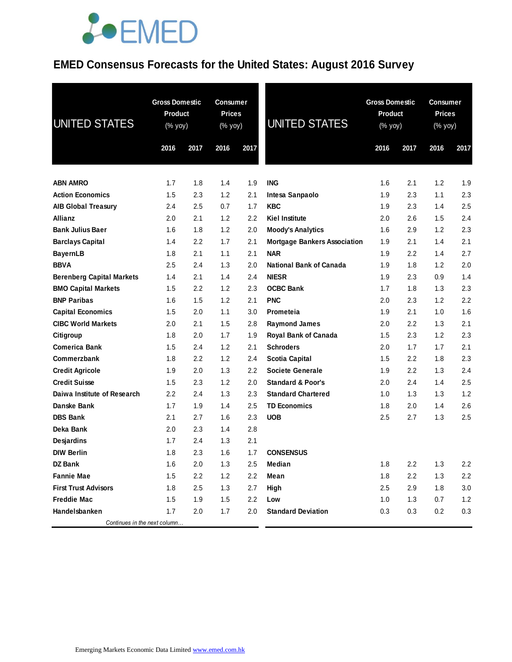### **EMED Consensus Forecasts for the United States: August 2016 Survey**

| <b>UNITED STATES</b>             | <b>Gross Domestic</b><br><b>Product</b><br>(% yoy) |      | <b>Consumer</b><br><b>Prices</b><br>(% yoy) |      | <b>UNITED STATES</b>                |      | <b>Gross Domestic</b><br><b>Product</b><br>(% yoy) |      | <b>Consumer</b><br><b>Prices</b><br>(% yoy) |  |
|----------------------------------|----------------------------------------------------|------|---------------------------------------------|------|-------------------------------------|------|----------------------------------------------------|------|---------------------------------------------|--|
|                                  | 2016                                               | 2017 | 2016                                        | 2017 |                                     | 2016 | 2017                                               | 2016 | 2017                                        |  |
| <b>ABN AMRO</b>                  | 1.7                                                | 1.8  | 1.4                                         | 1.9  | <b>ING</b>                          | 1.6  | 2.1                                                | 1.2  | 1.9                                         |  |
| <b>Action Economics</b>          | 1.5                                                | 2.3  | 1.2                                         | 2.1  | Intesa Sanpaolo                     | 1.9  | 2.3                                                | 1.1  | 2.3                                         |  |
| <b>AIB Global Treasury</b>       | 2.4                                                | 2.5  | 0.7                                         | 1.7  | <b>KBC</b>                          | 1.9  | 2.3                                                | 1.4  | 2.5                                         |  |
| <b>Allianz</b>                   | 2.0                                                | 2.1  | 1.2                                         | 2.2  | <b>Kiel Institute</b>               | 2.0  | 2.6                                                | 1.5  | 2.4                                         |  |
| <b>Bank Julius Baer</b>          | 1.6                                                | 1.8  | 1.2                                         | 2.0  | <b>Moody's Analytics</b>            | 1.6  | 2.9                                                | 1.2  | 2.3                                         |  |
| <b>Barclays Capital</b>          | 1.4                                                | 2.2  | 1.7                                         | 2.1  | <b>Mortgage Bankers Association</b> | 1.9  | 2.1                                                | 1.4  | 2.1                                         |  |
| <b>BayernLB</b>                  | 1.8                                                | 2.1  | 1.1                                         | 2.1  | <b>NAR</b>                          | 1.9  | $2.2\,$                                            | 1.4  | 2.7                                         |  |
| <b>BBVA</b>                      | 2.5                                                | 2.4  | 1.3                                         | 2.0  | <b>National Bank of Canada</b>      | 1.9  | 1.8                                                | 1.2  | 2.0                                         |  |
| <b>Berenberg Capital Markets</b> | 1.4                                                | 2.1  | 1.4                                         | 2.4  | <b>NIESR</b>                        | 1.9  | 2.3                                                | 0.9  | 1.4                                         |  |
| <b>BMO Capital Markets</b>       | 1.5                                                | 2.2  | 1.2                                         | 2.3  | <b>OCBC Bank</b>                    | 1.7  | 1.8                                                | 1.3  | 2.3                                         |  |
| <b>BNP Paribas</b>               | 1.6                                                | 1.5  | 1.2                                         | 2.1  | <b>PNC</b>                          | 2.0  | 2.3                                                | 1.2  | 2.2                                         |  |
| <b>Capital Economics</b>         | 1.5                                                | 2.0  | 1.1                                         | 3.0  | Prometeia                           | 1.9  | 2.1                                                | 1.0  | 1.6                                         |  |
| <b>CIBC World Markets</b>        | 2.0                                                | 2.1  | 1.5                                         | 2.8  | <b>Raymond James</b>                | 2.0  | $2.2\,$                                            | 1.3  | 2.1                                         |  |
| Citigroup                        | 1.8                                                | 2.0  | 1.7                                         | 1.9  | Royal Bank of Canada                | 1.5  | 2.3                                                | 1.2  | 2.3                                         |  |
| <b>Comerica Bank</b>             | 1.5                                                | 2.4  | 1.2                                         | 2.1  | <b>Schroders</b>                    | 2.0  | 1.7                                                | 1.7  | 2.1                                         |  |
| Commerzbank                      | 1.8                                                | 2.2  | 1.2                                         | 2.4  | <b>Scotia Capital</b>               | 1.5  | $2.2\,$                                            | 1.8  | 2.3                                         |  |
| <b>Credit Agricole</b>           | 1.9                                                | 2.0  | 1.3                                         | 2.2  | <b>Societe Generale</b>             | 1.9  | 2.2                                                | 1.3  | 2.4                                         |  |
| <b>Credit Suisse</b>             | 1.5                                                | 2.3  | 1.2                                         | 2.0  | <b>Standard &amp; Poor's</b>        | 2.0  | 2.4                                                | 1.4  | 2.5                                         |  |
| Daiwa Institute of Research      | 2.2                                                | 2.4  | 1.3                                         | 2.3  | <b>Standard Chartered</b>           | 1.0  | 1.3                                                | 1.3  | 1.2                                         |  |
| Danske Bank                      | 1.7                                                | 1.9  | 1.4                                         | 2.5  | <b>TD Economics</b>                 | 1.8  | 2.0                                                | 1.4  | 2.6                                         |  |
| <b>DBS Bank</b>                  | 2.1                                                | 2.7  | 1.6                                         | 2.3  | <b>UOB</b>                          | 2.5  | 2.7                                                | 1.3  | 2.5                                         |  |
| Deka Bank                        | 2.0                                                | 2.3  | 1.4                                         | 2.8  |                                     |      |                                                    |      |                                             |  |
| Desjardins                       | 1.7                                                | 2.4  | 1.3                                         | 2.1  |                                     |      |                                                    |      |                                             |  |
| <b>DIW Berlin</b>                | 1.8                                                | 2.3  | 1.6                                         | 1.7  | <b>CONSENSUS</b>                    |      |                                                    |      |                                             |  |
| <b>DZ Bank</b>                   | 1.6                                                | 2.0  | 1.3                                         | 2.5  | Median                              | 1.8  | 2.2                                                | 1.3  | 2.2                                         |  |
| <b>Fannie Mae</b>                | 1.5                                                | 2.2  | 1.2                                         | 2.2  | Mean                                | 1.8  | 2.2                                                | 1.3  | 2.2                                         |  |
| <b>First Trust Advisors</b>      | 1.8                                                | 2.5  | 1.3                                         | 2.7  | High                                | 2.5  | 2.9                                                | 1.8  | 3.0                                         |  |
| <b>Freddie Mac</b>               | 1.5                                                | 1.9  | 1.5                                         | 2.2  | Low                                 | 1.0  | 1.3                                                | 0.7  | 1.2                                         |  |
| Handelsbanken                    | 1.7                                                | 2.0  | 1.7                                         | 2.0  | <b>Standard Deviation</b>           | 0.3  | 0.3                                                | 0.2  | 0.3                                         |  |
| Continues in the next column     |                                                    |      |                                             |      |                                     |      |                                                    |      |                                             |  |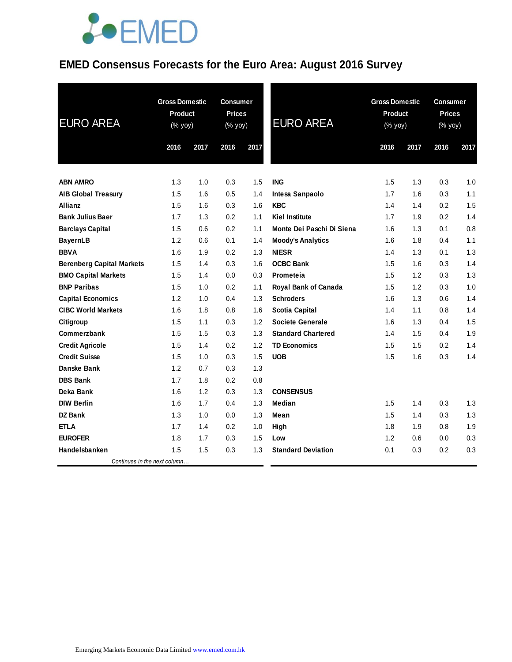### **EMED Consensus Forecasts for the Euro Area: August 2016 Survey**

| <b>EURO AREA</b>                 | <b>Gross Domestic</b><br><b>Product</b><br>(% yoy) |      | <b>Consumer</b><br><b>Prices</b><br>(% yoy) |      | <b>EURO AREA</b>          | <b>Gross Domestic</b><br><b>Product</b><br>(% yoy) |      | Consumer<br><b>Prices</b><br>(% yoy) |      |
|----------------------------------|----------------------------------------------------|------|---------------------------------------------|------|---------------------------|----------------------------------------------------|------|--------------------------------------|------|
|                                  | 2016                                               | 2017 | 2016                                        | 2017 |                           | 2016                                               | 2017 | 2016                                 | 2017 |
| <b>ABN AMRO</b>                  | 1.3                                                | 1.0  | 0.3                                         | 1.5  | <b>ING</b>                | 1.5                                                | 1.3  | 0.3                                  | 1.0  |
| <b>AIB Global Treasury</b>       | 1.5                                                | 1.6  | 0.5                                         | 1.4  | Intesa Sanpaolo           | 1.7                                                | 1.6  | 0.3                                  | 1.1  |
| <b>Allianz</b>                   | 1.5                                                | 1.6  | 0.3                                         | 1.6  | <b>KBC</b>                | 1.4                                                | 1.4  | 0.2                                  | 1.5  |
| <b>Bank Julius Baer</b>          | 1.7                                                | 1.3  | 0.2                                         | 1.1  | <b>Kiel Institute</b>     | 1.7                                                | 1.9  | 0.2                                  | 1.4  |
| <b>Barclays Capital</b>          | 1.5                                                | 0.6  | 0.2                                         | 1.1  | Monte Dei Paschi Di Siena | 1.6                                                | 1.3  | 0.1                                  | 0.8  |
| <b>BayernLB</b>                  | 1.2                                                | 0.6  | 0.1                                         | 1.4  | <b>Moody's Analytics</b>  | 1.6                                                | 1.8  | 0.4                                  | 1.1  |
| <b>BBVA</b>                      | 1.6                                                | 1.9  | 0.2                                         | 1.3  | <b>NIESR</b>              | 1.4                                                | 1.3  | 0.1                                  | 1.3  |
| <b>Berenberg Capital Markets</b> | 1.5                                                | 1.4  | 0.3                                         | 1.6  | <b>OCBC Bank</b>          | 1.5                                                | 1.6  | 0.3                                  | 1.4  |
| <b>BMO Capital Markets</b>       | 1.5                                                | 1.4  | 0.0                                         | 0.3  | Prometeia                 | 1.5                                                | 1.2  | 0.3                                  | 1.3  |
| <b>BNP Paribas</b>               | 1.5                                                | 1.0  | 0.2                                         | 1.1  | Royal Bank of Canada      | 1.5                                                | 1.2  | 0.3                                  | 1.0  |
| <b>Capital Economics</b>         | 1.2                                                | 1.0  | 0.4                                         | 1.3  | <b>Schroders</b>          | 1.6                                                | 1.3  | 0.6                                  | 1.4  |
| <b>CIBC World Markets</b>        | 1.6                                                | 1.8  | 0.8                                         | 1.6  | <b>Scotia Capital</b>     | 1.4                                                | 1.1  | 0.8                                  | 1.4  |
| Citigroup                        | 1.5                                                | 1.1  | 0.3                                         | 1.2  | <b>Societe Generale</b>   | 1.6                                                | 1.3  | 0.4                                  | 1.5  |
| Commerzbank                      | 1.5                                                | 1.5  | 0.3                                         | 1.3  | <b>Standard Chartered</b> | 1.4                                                | 1.5  | 0.4                                  | 1.9  |
| <b>Credit Agricole</b>           | 1.5                                                | 1.4  | 0.2                                         | 1.2  | <b>TD Economics</b>       | 1.5                                                | 1.5  | 0.2                                  | 1.4  |
| <b>Credit Suisse</b>             | 1.5                                                | 1.0  | 0.3                                         | 1.5  | <b>UOB</b>                | 1.5                                                | 1.6  | 0.3                                  | 1.4  |
| Danske Bank                      | 1.2                                                | 0.7  | 0.3                                         | 1.3  |                           |                                                    |      |                                      |      |
| <b>DBS Bank</b>                  | 1.7                                                | 1.8  | 0.2                                         | 0.8  |                           |                                                    |      |                                      |      |
| Deka Bank                        | 1.6                                                | 1.2  | 0.3                                         | 1.3  | <b>CONSENSUS</b>          |                                                    |      |                                      |      |
| <b>DIW Berlin</b>                | 1.6                                                | 1.7  | 0.4                                         | 1.3  | Median                    | 1.5                                                | 1.4  | 0.3                                  | 1.3  |
| <b>DZ Bank</b>                   | 1.3                                                | 1.0  | 0.0                                         | 1.3  | Mean                      | 1.5                                                | 1.4  | 0.3                                  | 1.3  |
| <b>ETLA</b>                      | 1.7                                                | 1.4  | 0.2                                         | 1.0  | High                      | 1.8                                                | 1.9  | 0.8                                  | 1.9  |
| <b>EUROFER</b>                   | 1.8                                                | 1.7  | 0.3                                         | 1.5  | Low                       | 1.2                                                | 0.6  | 0.0                                  | 0.3  |
| Handelsbanken                    | 1.5                                                | 1.5  | 0.3                                         | 1.3  | <b>Standard Deviation</b> | 0.1                                                | 0.3  | 0.2                                  | 0.3  |
| Continues in the next column     |                                                    |      |                                             |      |                           |                                                    |      |                                      |      |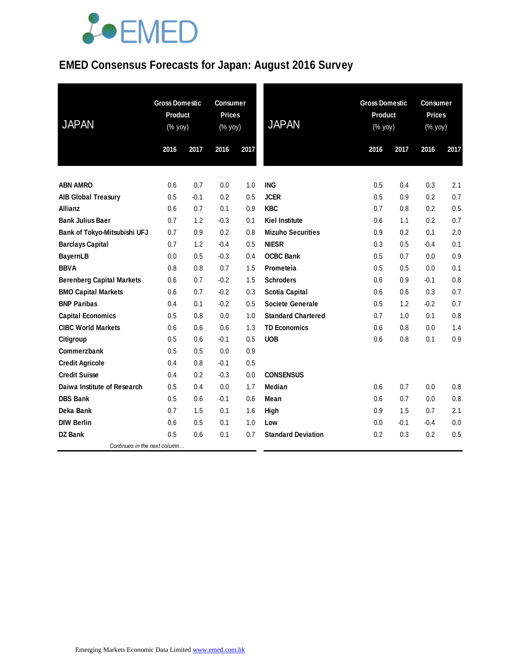### **EMED Consensus Forecasts for Japan: August 2016 Survey**

| <b>JAPAN</b>                     | <b>Gross Domestic</b><br>Product<br>$(% \mathsf{Y}^{\prime }\mathsf{Y}^{\prime }\mathsf{Y}^{\prime })$ |        | <b>Consumer</b><br><b>Prices</b><br>(% yoy) |      | <b>JAPAN</b>              |      | <b>Gross Domestic</b><br>Product<br>$(\%$ yoy) |        | <b>Consumer</b><br><b>Prices</b><br>$(% \mathsf{Y}^{\prime }\mathsf{Y}^{\prime })$ (% $\mathsf{Y}^{\prime }\mathsf{Y}^{\prime }\mathsf{Y}^{\prime })$ |  |
|----------------------------------|--------------------------------------------------------------------------------------------------------|--------|---------------------------------------------|------|---------------------------|------|------------------------------------------------|--------|-------------------------------------------------------------------------------------------------------------------------------------------------------|--|
|                                  | 2016                                                                                                   | 2017   | 2016                                        | 2017 |                           | 2016 | 2017                                           | 2016   | 2017                                                                                                                                                  |  |
| <b>ABN AMRO</b>                  | 0.6                                                                                                    | 0.7    | 0.0                                         | 1.0  | <b>ING</b>                | 0.5  | 0.4                                            | 0.3    | 2.1                                                                                                                                                   |  |
| <b>AIB Global Treasury</b>       | 0.5                                                                                                    | $-0.1$ | 0.2                                         | 0.5  | <b>JCER</b>               | 0.5  | 0.9                                            | 0.2    | 0.7                                                                                                                                                   |  |
| <b>Allianz</b>                   | 0.6                                                                                                    | 0.7    | 0.1                                         | 0.9  | <b>KBC</b>                | 0.7  | 0.8                                            | 0.2    | 0.5                                                                                                                                                   |  |
| <b>Bank Julius Baer</b>          | 0.7                                                                                                    | 1.2    | $-0.3$                                      | 0.1  | <b>Kiel Institute</b>     | 0.6  | 1.1                                            | 0.2    | 0.7                                                                                                                                                   |  |
| Bank of Tokyo-Mitsubishi UFJ     | 0.7                                                                                                    | 0.9    | 0.2                                         | 0.8  | <b>Mizuho Securities</b>  | 0.9  | 0.2                                            | 0.1    | 2.0                                                                                                                                                   |  |
| <b>Barclays Capital</b>          | 0.7                                                                                                    | 1.2    | $-0.4$                                      | 0.5  | <b>NIESR</b>              | 0.3  | 0.5                                            | $-0.4$ | 0.1                                                                                                                                                   |  |
| <b>BayernLB</b>                  | 0.0                                                                                                    | 0.5    | $-0.3$                                      | 0.4  | <b>OCBC Bank</b>          | 0.5  | 0.7                                            | 0.0    | 0.9                                                                                                                                                   |  |
| <b>BBVA</b>                      | 0.8                                                                                                    | 0.8    | 0.7                                         | 1.5  | Prometeia                 | 0.5  | 0.5                                            | 0.0    | 0.1                                                                                                                                                   |  |
| <b>Berenberg Capital Markets</b> | 0.6                                                                                                    | 0.7    | $-0.2$                                      | 1.5  | <b>Schroders</b>          | 0.6  | 0.9                                            | $-0.1$ | 0.8                                                                                                                                                   |  |
| <b>BMO Capital Markets</b>       | 0.6                                                                                                    | 0.7    | $-0.2$                                      | 0.3  | <b>Scotia Capital</b>     | 0.6  | 0.6                                            | 0.3    | 0.7                                                                                                                                                   |  |
| <b>BNP Paribas</b>               | 0.4                                                                                                    | 0.1    | $-0.2$                                      | 0.5  | <b>Societe Generale</b>   | 0.5  | 1.2                                            | $-0.2$ | 0.7                                                                                                                                                   |  |
| <b>Capital Economics</b>         | 0.5                                                                                                    | 0.8    | 0.0                                         | 1.0  | <b>Standard Chartered</b> | 0.7  | 1.0                                            | 0.1    | 0.8                                                                                                                                                   |  |
| <b>CIBC World Markets</b>        | 0.6                                                                                                    | 0.6    | 0.6                                         | 1.3  | <b>TD Economics</b>       | 0.6  | 0.8                                            | 0.0    | 1.4                                                                                                                                                   |  |
| Citigroup                        | 0.5                                                                                                    | 0.6    | $-0.1$                                      | 0.5  | <b>UOB</b>                | 0.6  | 0.8                                            | 0.1    | 0.9                                                                                                                                                   |  |
| Commerzbank                      | 0.5                                                                                                    | 0.5    | 0.0                                         | 0.9  |                           |      |                                                |        |                                                                                                                                                       |  |
| <b>Credit Agricole</b>           | 0.4                                                                                                    | 0.8    | $-0.1$                                      | 0.5  |                           |      |                                                |        |                                                                                                                                                       |  |
| <b>Credit Suisse</b>             | 0.4                                                                                                    | 0.2    | $-0.3$                                      | 0.0  | <b>CONSENSUS</b>          |      |                                                |        |                                                                                                                                                       |  |
| Daiwa Institute of Research      | 0.5                                                                                                    | 0.4    | 0.0                                         | 1.7  | Median                    | 0.6  | 0.7                                            | 0.0    | 0.8                                                                                                                                                   |  |
| <b>DBS Bank</b>                  | 0.5                                                                                                    | 0.6    | $-0.1$                                      | 0.6  | Mean                      | 0.6  | 0.7                                            | 0.0    | 0.8                                                                                                                                                   |  |
| Deka Bank                        | 0.7                                                                                                    | 1.5    | 0.1                                         | 1.6  | High                      | 0.9  | 1.5                                            | 0.7    | 2.1                                                                                                                                                   |  |
| <b>DIW Berlin</b>                | 0.6                                                                                                    | 0.5    | 0.1                                         | 1.0  | Low                       | 0.0  | $-0.1$                                         | $-0.4$ | 0.0                                                                                                                                                   |  |
| <b>DZ Bank</b>                   | 0.5                                                                                                    | 0.6    | 0.1                                         | 0.7  | <b>Standard Deviation</b> | 0.2  | 0.3                                            | 0.2    | 0.5                                                                                                                                                   |  |
| Continues in the next column     |                                                                                                        |        |                                             |      |                           |      |                                                |        |                                                                                                                                                       |  |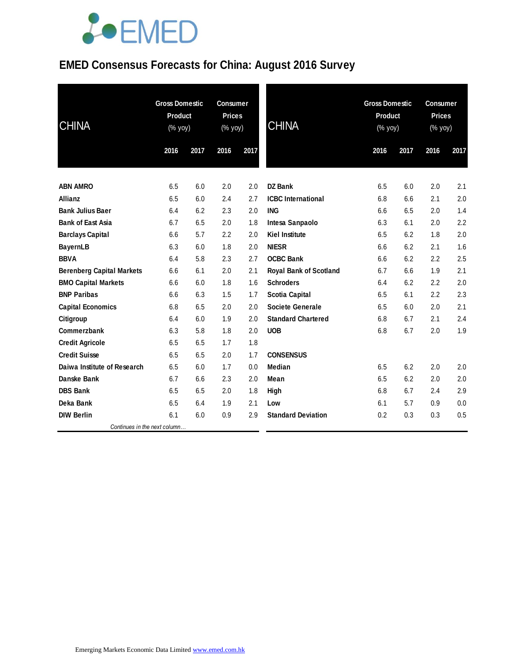### **EMED Consensus Forecasts for China: August 2016 Survey**

| <b>CHINA</b>                     |      | <b>Gross Domestic</b><br><b>Consumer</b><br><b>Prices</b><br><b>Product</b><br>(% yoy)<br>(% yoy) |      |      | <b>CHINA</b>                  | <b>Gross Domestic</b><br><b>Product</b><br>$(% \mathsf{Y}^{\prime }\mathsf{Y}^{\prime }\mathsf{Y}^{\prime })$ |      | <b>Consumer</b><br><b>Prices</b><br>$(% \mathsf{Y}^{\prime }\mathsf{Y}^{\prime }\mathsf{Y}^{\prime })$ |      |
|----------------------------------|------|---------------------------------------------------------------------------------------------------|------|------|-------------------------------|---------------------------------------------------------------------------------------------------------------|------|--------------------------------------------------------------------------------------------------------|------|
|                                  | 2016 | 2017                                                                                              | 2016 | 2017 |                               | 2016                                                                                                          | 2017 | 2016                                                                                                   | 2017 |
| <b>ABN AMRO</b>                  | 6.5  | 6.0                                                                                               | 2.0  | 2.0  | <b>DZ Bank</b>                | 6.5                                                                                                           | 6.0  | 2.0                                                                                                    | 2.1  |
| <b>Allianz</b>                   | 6.5  | 6.0                                                                                               | 2.4  | 2.7  | <b>ICBC</b> International     | 6.8                                                                                                           | 6.6  | 2.1                                                                                                    | 2.0  |
| <b>Bank Julius Baer</b>          | 6.4  | 6.2                                                                                               | 2.3  | 2.0  | <b>ING</b>                    | 6.6                                                                                                           | 6.5  | 2.0                                                                                                    | 1.4  |
| <b>Bank of East Asia</b>         | 6.7  | 6.5                                                                                               | 2.0  | 1.8  | Intesa Sanpaolo               | 6.3                                                                                                           | 6.1  | 2.0                                                                                                    | 2.2  |
| <b>Barclays Capital</b>          | 6.6  | 5.7                                                                                               | 2.2  | 2.0  | <b>Kiel Institute</b>         | 6.5                                                                                                           | 6.2  | 1.8                                                                                                    | 2.0  |
| <b>BayernLB</b>                  | 6.3  | 6.0                                                                                               | 1.8  | 2.0  | <b>NIESR</b>                  | 6.6                                                                                                           | 6.2  | 2.1                                                                                                    | 1.6  |
| <b>BBVA</b>                      | 6.4  | 5.8                                                                                               | 2.3  | 2.7  | <b>OCBC Bank</b>              | 6.6                                                                                                           | 6.2  | 2.2                                                                                                    | 2.5  |
| <b>Berenberg Capital Markets</b> | 6.6  | 6.1                                                                                               | 2.0  | 2.1  | <b>Royal Bank of Scotland</b> | 6.7                                                                                                           | 6.6  | 1.9                                                                                                    | 2.1  |
| <b>BMO Capital Markets</b>       | 6.6  | 6.0                                                                                               | 1.8  | 1.6  | <b>Schroders</b>              | 6.4                                                                                                           | 6.2  | 2.2                                                                                                    | 2.0  |
| <b>BNP Paribas</b>               | 6.6  | 6.3                                                                                               | 1.5  | 1.7  | <b>Scotia Capital</b>         | 6.5                                                                                                           | 6.1  | 2.2                                                                                                    | 2.3  |
| <b>Capital Economics</b>         | 6.8  | 6.5                                                                                               | 2.0  | 2.0  | <b>Societe Generale</b>       | 6.5                                                                                                           | 6.0  | 2.0                                                                                                    | 2.1  |
| Citigroup                        | 6.4  | 6.0                                                                                               | 1.9  | 2.0  | <b>Standard Chartered</b>     | 6.8                                                                                                           | 6.7  | 2.1                                                                                                    | 2.4  |
| Commerzbank                      | 6.3  | 5.8                                                                                               | 1.8  | 2.0  | <b>UOB</b>                    | 6.8                                                                                                           | 6.7  | 2.0                                                                                                    | 1.9  |
| <b>Credit Agricole</b>           | 6.5  | 6.5                                                                                               | 1.7  | 1.8  |                               |                                                                                                               |      |                                                                                                        |      |
| <b>Credit Suisse</b>             | 6.5  | 6.5                                                                                               | 2.0  | 1.7  | <b>CONSENSUS</b>              |                                                                                                               |      |                                                                                                        |      |
| Daiwa Institute of Research      | 6.5  | 6.0                                                                                               | 1.7  | 0.0  | Median                        | 6.5                                                                                                           | 6.2  | 2.0                                                                                                    | 2.0  |
| Danske Bank                      | 6.7  | 6.6                                                                                               | 2.3  | 2.0  | Mean                          | 6.5                                                                                                           | 6.2  | 2.0                                                                                                    | 2.0  |
| <b>DBS Bank</b>                  | 6.5  | 6.5                                                                                               | 2.0  | 1.8  | High                          | 6.8                                                                                                           | 6.7  | 2.4                                                                                                    | 2.9  |
| Deka Bank                        | 6.5  | 6.4                                                                                               | 1.9  | 2.1  | Low                           | 6.1                                                                                                           | 5.7  | 0.9                                                                                                    | 0.0  |
| <b>DIW Berlin</b>                | 6.1  | 6.0                                                                                               | 0.9  | 2.9  | <b>Standard Deviation</b>     | 0.2                                                                                                           | 0.3  | 0.3                                                                                                    | 0.5  |
| Continues in the next column     |      |                                                                                                   |      |      |                               |                                                                                                               |      |                                                                                                        |      |